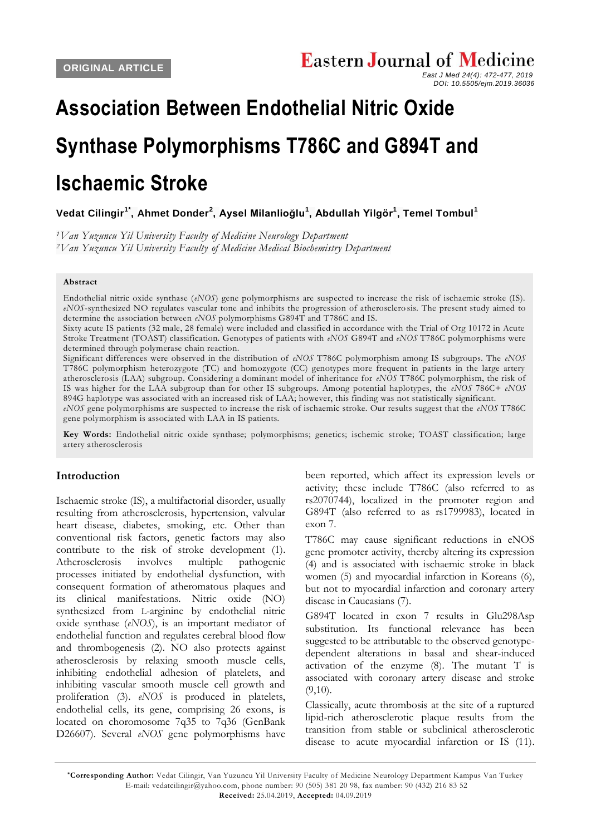# **Association Between Endothelial Nitric Oxide Synthase Polymorphisms T786C and G894T and Ischaemic Stroke**

**[Vedat Cilingir](javascript:lookus()1\* , [Ahmet Donder](javascript:lookus()<sup>2</sup> , [Aysel Milanlioğlu](javascript:lookus()<sup>1</sup> , [Abdullah Yilgör](javascript:lookus()<sup>1</sup> , [Temel Tombul](javascript:lookus()<sup>1</sup>**

*<sup>1</sup>Van Yuzuncu Yil University Faculty of Medicine Neurology Department <sup>2</sup>Van Yuzuncu Yil University Faculty of Medicine Medical Biochemistry Department*

#### **Abstract**

Endothelial nitric oxide synthase (*eNOS*) gene polymorphisms are suspected to increase the risk of ischaemic stroke (IS). *eNOS*-synthesized NO regulates vascular tone and inhibits the progression of atherosclero sis. The present study aimed to determine the association between *eNOS* polymorphisms G894T and T786C and IS.

Sixty acute IS patients (32 male, 28 female) were included and classified in accordance with the Trial of Org 10172 in Acute Stroke Treatment (TOAST) classification. Genotypes of patients with *eNOS* G894T and *eNOS* T786C polymorphisms were determined through polymerase chain reaction.

Significant differences were observed in the distribution of *eNOS* T786C polymorphism among IS subgroups. The *eNOS* T786C polymorphism heterozygote (TC) and homozygote (CC) genotypes more frequent in patients in the large artery atherosclerosis (LAA) subgroup. Considering a dominant model of inheritance for *eNOS* T786C polymorphism, the risk of IS was higher for the LAA subgroup than for other IS subgroups. Among potential haplotypes, the *eNOS* 786C+ *eNOS* 894G haplotype was associated with an increased risk of LAA; however, this finding was not statistically significant.

*eNOS* gene polymorphisms are suspected to increase the risk of ischaemic stroke. Our results suggest that the *eNOS* T786C gene polymorphism is associated with LAA in IS patients.

**Key Words:** Endothelial nitric oxide synthase; polymorphisms; genetics; ischemic stroke; TOAST classification; large artery atherosclerosis

#### **Introduction**

Ischaemic stroke (IS), a multifactorial disorder, usually resulting from atherosclerosis, hypertension, valvular heart disease, diabetes, smoking, etc. Other than conventional risk factors, genetic factors may also contribute to the risk of stroke development (1). Atherosclerosis involves multiple pathogenic processes initiated by endothelial dysfunction, with consequent formation of atheromatous plaques and its clinical manifestations. Nitric oxide (NO) synthesized from L-arginine by endothelial nitric oxide synthase (*eNOS*), is an important mediator of endothelial function and regulates cerebral blood flow and thrombogenesis (2). NO also protects against atherosclerosis by relaxing smooth muscle cells, inhibiting endothelial adhesion of platelets, and inhibiting vascular smooth muscle cell growth and proliferation (3). *eNOS* is produced in platelets, endothelial cells, its gene, comprising 26 exons, is located on choromosome 7q35 to 7q36 (GenBank D26607). Several *eNOS* gene polymorphisms have been reported, which affect its expression levels or activity; these include T786C (also referred to as rs2070744), localized in the promoter region and G894T (also referred to as rs1799983), located in exon 7.

T786C may cause significant reductions in eNOS gene promoter activity, thereby altering its expression (4) and is associated with ischaemic stroke in black women (5) and myocardial infarction in Koreans (6), but not to myocardial infarction and coronary artery disease in Caucasians (7).

G894T located in exon 7 results in Glu298Asp substitution. Its functional relevance has been suggested to be attributable to the observed genotypedependent alterations in basal and shear-induced activation of the enzyme (8). The mutant T is associated with coronary artery disease and stroke  $(9.10)$ .

Classically, acute thrombosis at the site of a ruptured lipid-rich atherosclerotic plaque results from the transition from stable or subclinical atherosclerotic disease to acute myocardial infarction or IS (11).

*East J Med 24(4): 472-477, 2019 DOI: 10.5505/ejm.2019.36036*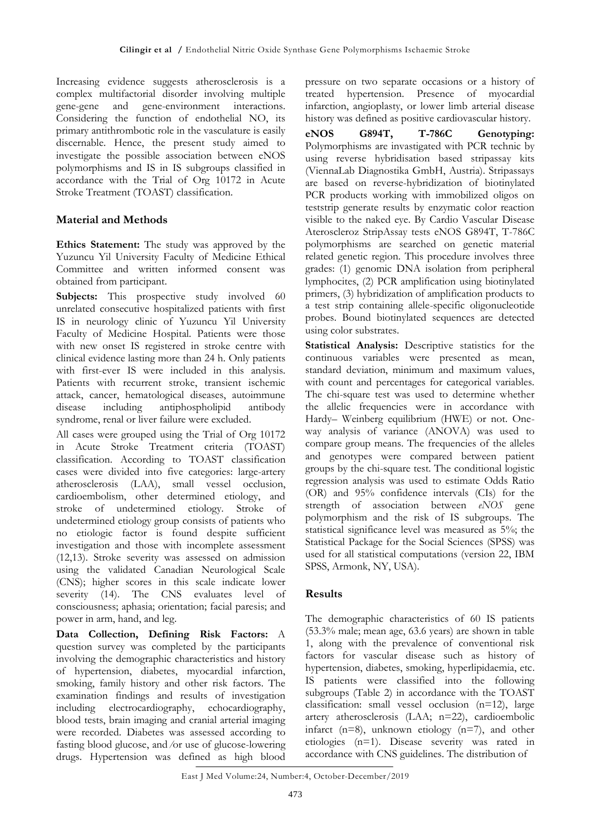Increasing evidence suggests atherosclerosis is a complex multifactorial disorder involving multiple gene-gene and gene-environment interactions. Considering the function of endothelial NO, its primary antithrombotic role in the vasculature is easily discernable. Hence, the present study aimed to investigate the possible association between eNOS polymorphisms and IS in IS subgroups classified in accordance with the Trial of Org 10172 in Acute Stroke Treatment (TOAST) classification.

### **Material and Methods**

**Ethics Statement:** The study was approved by the Yuzuncu Yil University Faculty of Medicine Ethical Committee and written informed consent was obtained from participant.

**Subjects:** This prospective study involved 60 unrelated consecutive hospitalized patients with first IS in neurology clinic of Yuzuncu Yil University Faculty of Medicine Hospital. Patients were those with new onset IS registered in stroke centre with clinical evidence lasting more than 24 h. Only patients with first-ever IS were included in this analysis. Patients with recurrent stroke, transient ischemic attack, cancer, hematological diseases, autoimmune disease including antiphospholipid antibody syndrome, renal or liver failure were excluded.

All cases were grouped using the Trial of Org 10172 in Acute Stroke Treatment criteria (TOAST) classification. According to TOAST classification cases were divided into five categories: large-artery atherosclerosis (LAA), small vessel occlusion, cardioembolism, other determined etiology, and stroke of undetermined etiology. Stroke of undetermined etiology group consists of patients who no etiologic factor is found despite sufficient investigation and those with incomplete assessment (12,13). Stroke severity was assessed on admission using the validated Canadian Neurological Scale (CNS); higher scores in this scale indicate lower severity (14). The CNS evaluates level of consciousness; aphasia; orientation; facial paresis; and power in arm, hand, and leg.

**Data Collection, Defining Risk Factors:** A question survey was completed by the participants involving the demographic characteristics and history of hypertension, diabetes, myocardial infarction, smoking, family history and other risk factors. The examination findings and results of investigation including electrocardiography, echocardiography, blood tests, brain imaging and cranial arterial imaging were recorded. Diabetes was assessed according to fasting blood glucose, and ⁄or use of glucose-lowering drugs. Hypertension was defined as high blood

pressure on two separate occasions or a history of treated hypertension. Presence of myocardial infarction, angioplasty, or lower limb arterial disease history was defined as positive cardiovascular history.

**eNOS G894T, T-786C Genotyping:** Polymorphisms are invastigated with PCR technic by using reverse hybridisation based stripassay kits (ViennaLab Diagnostika GmbH, Austria). Stripassays are based on reverse-hybridization of biotinylated PCR products working with immobilized oligos on teststrip generate results by enzymatic color reaction visible to the naked eye. By Cardio Vascular Disease Ateroscleroz StripAssay tests eNOS G894T, T-786C polymorphisms are searched on genetic material related genetic region. This procedure involves three grades: (1) genomic DNA isolation from peripheral lymphocites, (2) PCR amplification using biotinylated primers, (3) hybridization of amplification products to a test strip containing allele-specific oligonucleotide probes. Bound biotinylated sequences are detected using color substrates.

**Statistical Analysis:** Descriptive statistics for the continuous variables were presented as mean, standard deviation, minimum and maximum values, with count and percentages for categorical variables. The chi-square test was used to determine whether the allelic frequencies were in accordance with Hardy– Weinberg equilibrium (HWE) or not. Oneway analysis of variance (ANOVA) was used to compare group means. The frequencies of the alleles and genotypes were compared between patient groups by the chi-square test. The conditional logistic regression analysis was used to estimate Odds Ratio (OR) and 95% confidence intervals (CIs) for the strength of association between *eNOS* gene polymorphism and the risk of IS subgroups. The statistical significance level was measured as 5%; the Statistical Package for the Social Sciences (SPSS) was used for all statistical computations (version 22, IBM SPSS, Armonk, NY, USA).

#### **Results**

The demographic characteristics of 60 IS patients (53.3% male; mean age, 63.6 years) are shown in table 1, along with the prevalence of conventional risk factors for vascular disease such as history of hypertension, diabetes, smoking, hyperlipidaemia, etc. IS patients were classified into the following subgroups (Table 2) in accordance with the TOAST classification: small vessel occlusion (n=12), large artery atherosclerosis (LAA; n=22), cardioembolic infarct (n=8), unknown etiology (n=7), and other etiologies (n=1). Disease severity was rated in accordance with CNS guidelines. The distribution of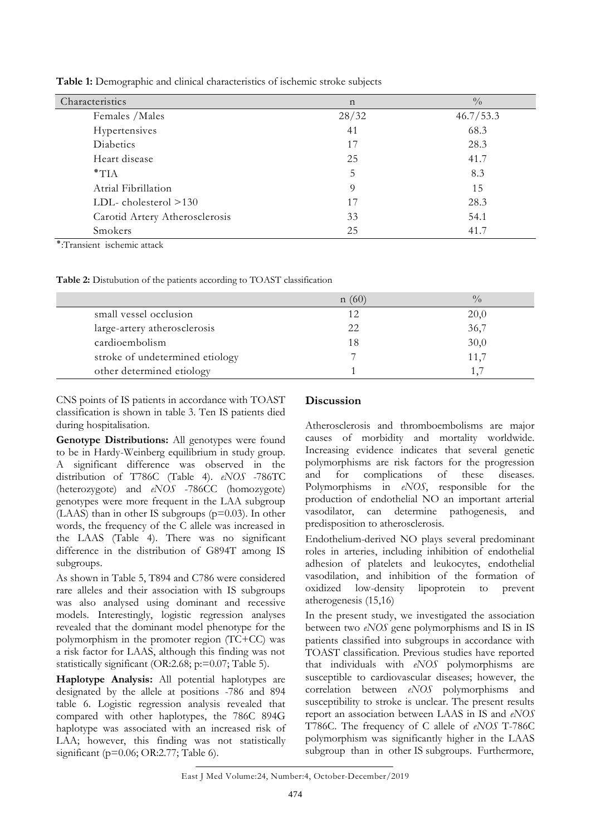| Characteristics                | $\mathbf n$ | $\frac{0}{0}$ |
|--------------------------------|-------------|---------------|
| Females / Males                | 28/32       | 46.7/53.3     |
| Hypertensives                  | 41          | 68.3          |
| Diabetics                      | 17          | 28.3          |
| Heart disease                  | 25          | 41.7          |
| $*TIA$                         | 5           | 8.3           |
| Atrial Fibrillation            | 9           | 15            |
| LDL-cholesterol >130           | 17          | 28.3          |
| Carotid Artery Atherosclerosis | 33          | 54.1          |
| Smokers                        | 25          | 41.7          |

**Table 1:** Demographic and clinical characteristics of ischemic stroke subjects

٭:Transient ischemic attack

**Table 2:** Distubution of the patients according to TOAST classification

|                                 | n(60) | $\frac{0}{0}$ |
|---------------------------------|-------|---------------|
| small vessel occlusion          | 12    | 20,0          |
| large-artery atherosclerosis    | 22    | 36,7          |
| cardioembolism                  | 18    | 30,0          |
| stroke of undetermined etiology |       | 11,7          |
| other determined etiology       |       |               |

CNS points of IS patients in accordance with TOAST classification is shown in table 3. Ten IS patients died during hospitalisation.

**Genotype Distributions:** All genotypes were found to be in Hardy-Weinberg equilibrium in study group. A significant difference was observed in the distribution of T786C (Table 4). *eNOS* -786TC (heterozygote) and *eNOS* -786CC (homozygote) genotypes were more frequent in the LAA subgroup (LAAS) than in other IS subgroups (p=0.03). In other words, the frequency of the C allele was increased in the LAAS (Table 4). There was no significant difference in the distribution of G894T among IS subgroups.

As shown in Table 5, T894 and C786 were considered rare alleles and their association with IS subgroups was also analysed using dominant and recessive models. Interestingly, logistic regression analyses revealed that the dominant model phenotype for the polymorphism in the promoter region (TC+CC) was a risk factor for LAAS, although this finding was not statistically significant (OR:2.68; p:=0.07; Table 5).

**Haplotype Analysis:** All potential haplotypes are designated by the allele at positions -786 and 894 table 6. Logistic regression analysis revealed that compared with other haplotypes, the 786C 894G haplotype was associated with an increased risk of LAA; however, this finding was not statistically significant (p=0.06; OR:2.77; Table 6).

#### **Discussion**

Atherosclerosis and thromboembolisms are major causes of morbidity and mortality worldwide. Increasing evidence indicates that several genetic polymorphisms are risk factors for the progression and for complications of these diseases. Polymorphisms in *eNOS*, responsible for the production of endothelial NO an important arterial vasodilator, can determine pathogenesis, and predisposition to atherosclerosis.

Endothelium-derived NO plays several predominant roles in arteries, including inhibition of endothelial adhesion of platelets and leukocytes, endothelial vasodilation, and inhibition of the formation of oxidized low-density lipoprotein to prevent atherogenesis (15,16)

In the present study, we investigated the association between two *eNOS* gene polymorphisms and IS in IS patients classified into subgroups in accordance with TOAST classification. Previous studies have reported that individuals with *eNOS* polymorphisms are susceptible to cardiovascular diseases; however, the correlation between *eNOS* polymorphisms and susceptibility to stroke is unclear. The present results report an association between LAAS in IS and *eNOS* T786C. The frequency of C allele of *eNOS* T-786C polymorphism was significantly higher in the LAAS subgroup than in other IS subgroups. Furthermore,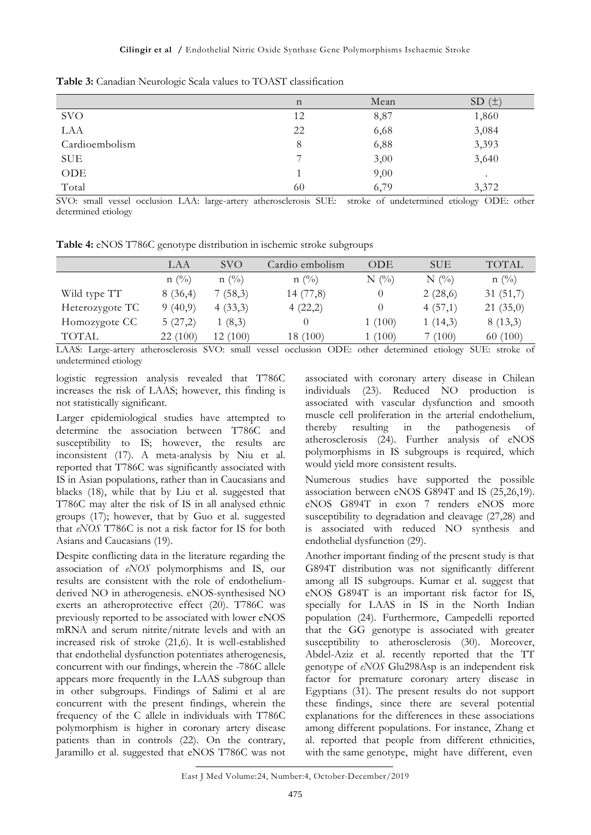|                | n  | Mean | SD(±)     |
|----------------|----|------|-----------|
| <b>SVO</b>     | 12 | 8,87 | 1,860     |
| LAA            | 22 | 6,68 | 3,084     |
| Cardioembolism | 8  | 6,88 | 3,393     |
| <b>SUE</b>     | ⇁  | 3,00 | 3,640     |
| ODE            |    | 9,00 | $\bullet$ |
| Total          | 60 | 6,79 | 3,372     |

**Table 3:** Canadian Neurologic Scala values to TOAST classification

SVO: small vessel occlusion LAA: large-artery atherosclerosis SUE: stroke of undetermined etiology ODE: other determined etiology

**Table 4:** eNOS T786C genotype distribution in ischemic stroke subgroups

|                 | LAA            | <b>SVO</b>        | Cardio embolism | ODE     | SUE     | <b>TOTAL</b>   |
|-----------------|----------------|-------------------|-----------------|---------|---------|----------------|
|                 | $n(^{0}/_{0})$ | $n(^{0}/_{0})$    | $n(^{0}/_{0})$  | $N(\%)$ | $N(\%)$ | $n(^{0}/_{0})$ |
| Wild type TT    | 8(36,4)        | 7(58,3)           | 14 (77,8)       |         | 2(28,6) | 31(51,7)       |
| Heterozygote TC | 9(40,9)        | 4(33,3)           | 4(22,2)         |         | 4(57,1) | 21(35,0)       |
| Homozygote CC   | 5(27,2)        | 1(8,3)            |                 | 1(100)  | 1(14,3) | 8(13,3)        |
| TOTAL           | 22 (100)       | (100)<br>$12^{-}$ | 18 (100)        | (100)   | 7 (100) | 60(100)        |

LAAS: Large-artery atherosclerosis SVO: small vessel occlusion ODE: other determined etiology SUE: stroke of undetermined etiology

logistic regression analysis revealed that T786C increases the risk of LAAS; however, this finding is not statistically significant.

Larger epidemiological studies have attempted to determine the association between T786C and susceptibility to IS; however, the results are inconsistent (17). A meta-analysis by Niu et al. reported that T786C was significantly associated with IS in Asian populations, rather than in Caucasians and blacks (18), while that by Liu et al. suggested that T786C may alter the risk of IS in all analysed ethnic groups (17); however, that by Guo et al. suggested that *eNOS* T786C is not a risk factor for IS for both Asians and Caucasians (19).

Despite conflicting data in the literature regarding the association of *eNOS* polymorphisms and IS, our results are consistent with the role of endotheliumderived NO in atherogenesis. eNOS-synthesised NO exerts an atheroprotective effect (20). T786C was previously reported to be associated with lower eNOS mRNA and serum nitrite/nitrate levels and with an increased risk of stroke (21,6). It is well-established that endothelial dysfunction potentiates atherogenesis, concurrent with our findings, wherein the -786C allele appears more frequently in the LAAS subgroup than in other subgroups. Findings of Salimi et al are concurrent with the present findings, wherein the frequency of the C allele in individuals with T786C polymorphism is higher in coronary artery disease patients than in controls (22). On the contrary, Jaramillo et al. suggested that eNOS T786C was not

associated with coronary artery disease in Chilean individuals (23). Reduced NO production is associated with vascular dysfunction and smooth muscle cell proliferation in the arterial endothelium, thereby resulting in the pathogenesis of atherosclerosis (24). Further analysis of eNOS polymorphisms in IS subgroups is required, which would yield more consistent results.

Numerous studies have supported the possible association between eNOS G894T and IS (25,26,19). eNOS G894T in exon 7 renders eNOS more susceptibility to degradation and cleavage (27,28) and is associated with reduced NO synthesis and endothelial dysfunction (29).

Another important finding of the present study is that G894T distribution was not significantly different among all IS subgroups. Kumar et al. suggest that eNOS G894T is an important risk factor for IS, specially for LAAS in IS in the North Indian population (24). Furthermore, Campedelli reported that the GG genotype is associated with greater susceptibility to atherosclerosis (30). Moreover, Abdel-Aziz et al. recently reported that the TT genotype of *eNOS* Glu298Asp is an independent risk factor for premature coronary artery disease in Egyptians (31). The present results do not support these findings, since there are several potential explanations for the differences in these associations among different populations. For instance, Zhang et al. reported that people from different ethnicities, with the same genotype, might have different, even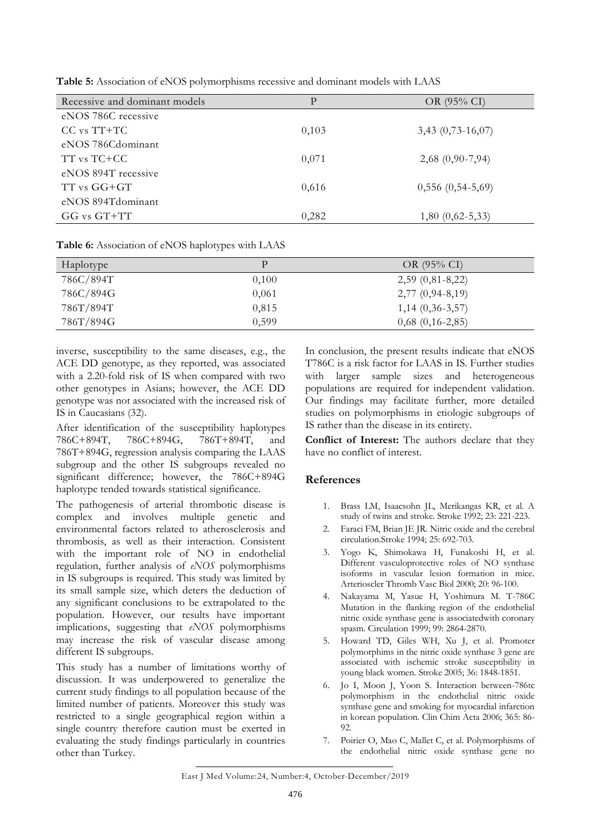| Recessive and dominant models | P     | OR $(95\% \text{ CI})$ |
|-------------------------------|-------|------------------------|
| eNOS 786C recessive           |       |                        |
| $CC$ vs $TT+TC$               | 0,103 | $3,43$ $(0,73-16,07)$  |
| eNOS 786Cdominant             |       |                        |
| TT vs TC+CC                   | 0,071 | $2,68$ (0,90-7,94)     |
| eNOS 894T recessive           |       |                        |
| TT vs GG+GT                   | 0,616 | $0,556(0,54-5,69)$     |
| eNOS 894T dominant            |       |                        |
| GG vs GT+TT                   | 0,282 | $1,80(0,62-5,33)$      |
|                               |       |                        |

**Table 5:** Association of eNOS polymorphisms recessive and dominant models with LAAS

**Table 6:** Association of eNOS haplotypes with LAAS

| Haplotype | P     | OR $(95% CI)$        |
|-----------|-------|----------------------|
| 786C/894T | 0,100 | $2,59(0,81-8,22)$    |
| 786C/894G | 0,061 | $2,77(0,94-8,19)$    |
| 786T/894T | 0,815 | $1,14(0,36-3,57)$    |
| 786T/894G | 0.599 | $0,68$ $(0,16-2,85)$ |

inverse, susceptibility to the same diseases, e.g., the ACE DD genotype, as they reported, was associated with a 2.20-fold risk of IS when compared with two other genotypes in Asians; however, the ACE DD genotype was not associated with the increased risk of IS in Caucasians (32).

After identification of the susceptibility haplotypes 786C+894T, 786C+894G, 786T+894T, and 786T+894G, regression analysis comparing the LAAS subgroup and the other IS subgroups revealed no significant difference; however, the 786C+894G haplotype tended towards statistical significance.

The pathogenesis of arterial thrombotic disease is complex and involves multiple genetic and environmental factors related to atherosclerosis and thrombosis, as well as their interaction. Consistent with the important role of NO in endothelial regulation, further analysis of *eNOS* polymorphisms in IS subgroups is required. This study was limited by its small sample size, which deters the deduction of any significant conclusions to be extrapolated to the population. However, our results have important implications, suggesting that *eNOS* polymorphisms may increase the risk of vascular disease among different IS subgroups.

This study has a number of limitations worthy of discussion. It was underpowered to generalize the current study findings to all population because of the limited number of patients. Moreover this study was restricted to a single geographical region within a single country therefore caution must be exerted in evaluating the study findings particularly in countries other than Turkey.

In conclusion, the present results indicate that eNOS T786C is a risk factor for LAAS in IS. Further studies with larger sample sizes and heterogeneous populations are required for independent validation. Our findings may facilitate further, more detailed studies on polymorphisms in etiologic subgroups of IS rather than the disease in its entirety.

**Conflict of Interest:** The authors declare that they have no conflict of interest.

## **References**

- 1. Brass LM, Isaacsohn JL, Merikangas KR, et al. A study of twins and stroke. Stroke 1992; 23: 221-223.
- 2. Faraci FM, Brian JE JR. Nitric oxide and the cerebral circulation.Stroke 1994; 25: 692-703.
- 3. Yogo K, Shimokawa H, Funakoshi H, et al. Different vasculoprotective roles of NO synthase isoforms in vascular lesion formation in mice. Arterioscler Thromb Vasc Biol 2000; 20: 96-100.
- 4. Nakayama M, Yasue H, Yoshimura M. T-786C Mutation in the flanking region of the endothelial nitric oxide synthase gene is associatedwith coronary spasm. Circulation 1999; 99: 2864-2870.
- 5. Howard TD, Giles WH, Xu J, et al. Promoter polymorphims in the nitric oxide synthase 3 gene are associated with ischemic stroke susceptibility in young black women. Stroke 2005; 36: 1848-1851.
- 6. Jo I, Moon J, Yoon S. İnteraction between-786tc polymorphism in the endothelial nitric oxide synthase gene and smoking for myocardial infarction in korean population. Clin Chim Acta 2006; 365: 86- 92.
- 7. Poirier O, Mao C, Mallet C, et al. Polymorphisms of the endothelial nitric oxide synthase gene no